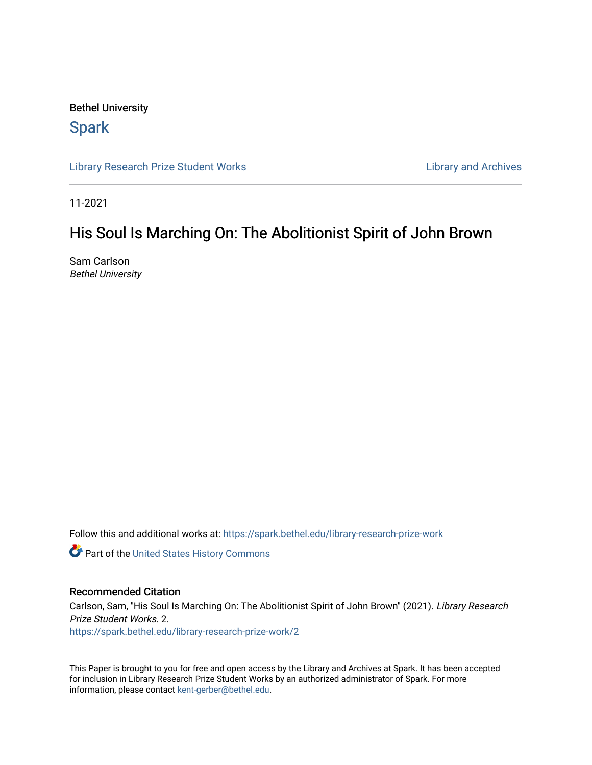## Bethel University

## **Spark**

[Library Research Prize Student Works](https://spark.bethel.edu/library-research-prize-work) **Library Access 2018** Library and Archives

11-2021

## His Soul Is Marching On: The Abolitionist Spirit of John Brown

Sam Carlson Bethel University

Follow this and additional works at: [https://spark.bethel.edu/library-research-prize-work](https://spark.bethel.edu/library-research-prize-work?utm_source=spark.bethel.edu%2Flibrary-research-prize-work%2F2&utm_medium=PDF&utm_campaign=PDFCoverPages) 

**Part of the United States History Commons** 

## Recommended Citation

Carlson, Sam, "His Soul Is Marching On: The Abolitionist Spirit of John Brown" (2021). Library Research Prize Student Works. 2.

[https://spark.bethel.edu/library-research-prize-work/2](https://spark.bethel.edu/library-research-prize-work/2?utm_source=spark.bethel.edu%2Flibrary-research-prize-work%2F2&utm_medium=PDF&utm_campaign=PDFCoverPages)

This Paper is brought to you for free and open access by the Library and Archives at Spark. It has been accepted for inclusion in Library Research Prize Student Works by an authorized administrator of Spark. For more information, please contact [kent-gerber@bethel.edu.](mailto:kent-gerber@bethel.edu)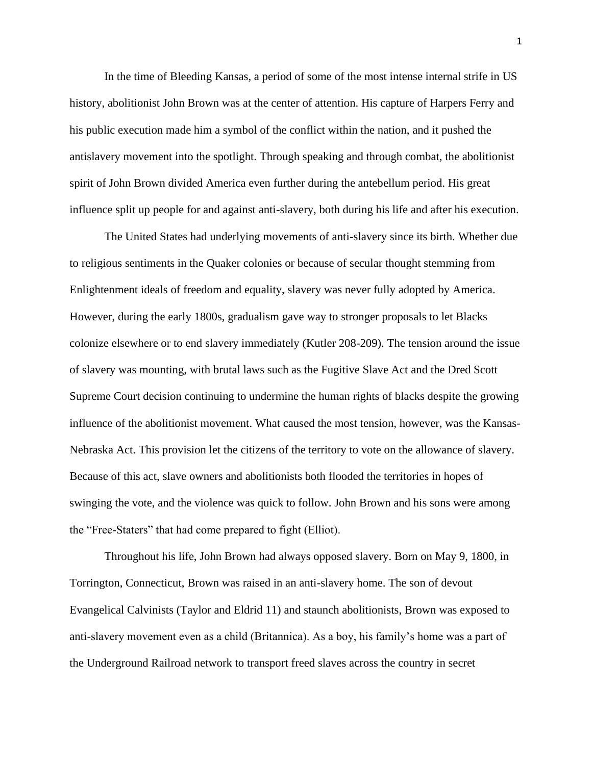In the time of Bleeding Kansas, a period of some of the most intense internal strife in US history, abolitionist John Brown was at the center of attention. His capture of Harpers Ferry and his public execution made him a symbol of the conflict within the nation, and it pushed the antislavery movement into the spotlight. Through speaking and through combat, the abolitionist spirit of John Brown divided America even further during the antebellum period. His great influence split up people for and against anti-slavery, both during his life and after his execution.

The United States had underlying movements of anti-slavery since its birth. Whether due to religious sentiments in the Quaker colonies or because of secular thought stemming from Enlightenment ideals of freedom and equality, slavery was never fully adopted by America. However, during the early 1800s, gradualism gave way to stronger proposals to let Blacks colonize elsewhere or to end slavery immediately (Kutler 208-209). The tension around the issue of slavery was mounting, with brutal laws such as the Fugitive Slave Act and the Dred Scott Supreme Court decision continuing to undermine the human rights of blacks despite the growing influence of the abolitionist movement. What caused the most tension, however, was the Kansas-Nebraska Act. This provision let the citizens of the territory to vote on the allowance of slavery. Because of this act, slave owners and abolitionists both flooded the territories in hopes of swinging the vote, and the violence was quick to follow. John Brown and his sons were among the "Free-Staters" that had come prepared to fight (Elliot).

Throughout his life, John Brown had always opposed slavery. Born on May 9, 1800, in Torrington, Connecticut, Brown was raised in an anti-slavery home. The son of devout Evangelical Calvinists (Taylor and Eldrid 11) and staunch abolitionists, Brown was exposed to anti-slavery movement even as a child (Britannica). As a boy, his family's home was a part of the Underground Railroad network to transport freed slaves across the country in secret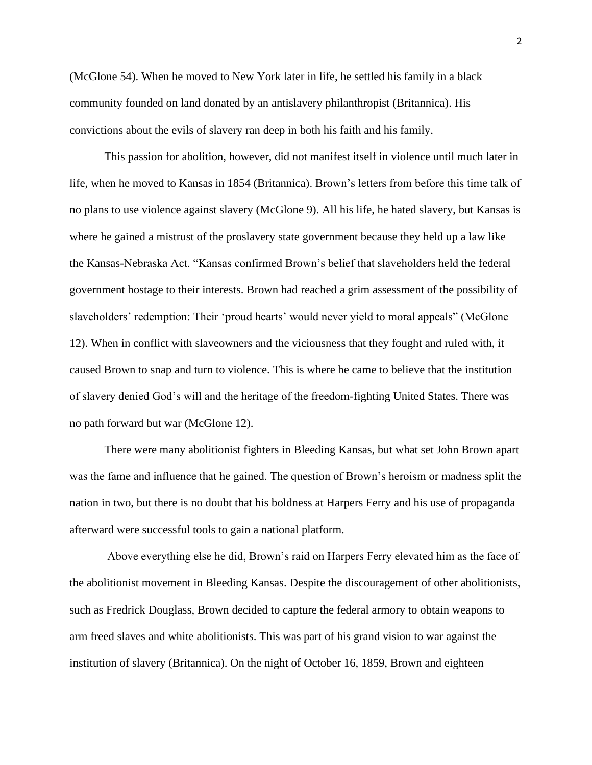(McGlone 54). When he moved to New York later in life, he settled his family in a black community founded on land donated by an antislavery philanthropist (Britannica). His convictions about the evils of slavery ran deep in both his faith and his family.

This passion for abolition, however, did not manifest itself in violence until much later in life, when he moved to Kansas in 1854 (Britannica). Brown's letters from before this time talk of no plans to use violence against slavery (McGlone 9). All his life, he hated slavery, but Kansas is where he gained a mistrust of the proslavery state government because they held up a law like the Kansas-Nebraska Act. "Kansas confirmed Brown's belief that slaveholders held the federal government hostage to their interests. Brown had reached a grim assessment of the possibility of slaveholders' redemption: Their 'proud hearts' would never yield to moral appeals" (McGlone 12). When in conflict with slaveowners and the viciousness that they fought and ruled with, it caused Brown to snap and turn to violence. This is where he came to believe that the institution of slavery denied God's will and the heritage of the freedom-fighting United States. There was no path forward but war (McGlone 12).

There were many abolitionist fighters in Bleeding Kansas, but what set John Brown apart was the fame and influence that he gained. The question of Brown's heroism or madness split the nation in two, but there is no doubt that his boldness at Harpers Ferry and his use of propaganda afterward were successful tools to gain a national platform.

Above everything else he did, Brown's raid on Harpers Ferry elevated him as the face of the abolitionist movement in Bleeding Kansas. Despite the discouragement of other abolitionists, such as Fredrick Douglass, Brown decided to capture the federal armory to obtain weapons to arm freed slaves and white abolitionists. This was part of his grand vision to war against the institution of slavery (Britannica). On the night of October 16, 1859, Brown and eighteen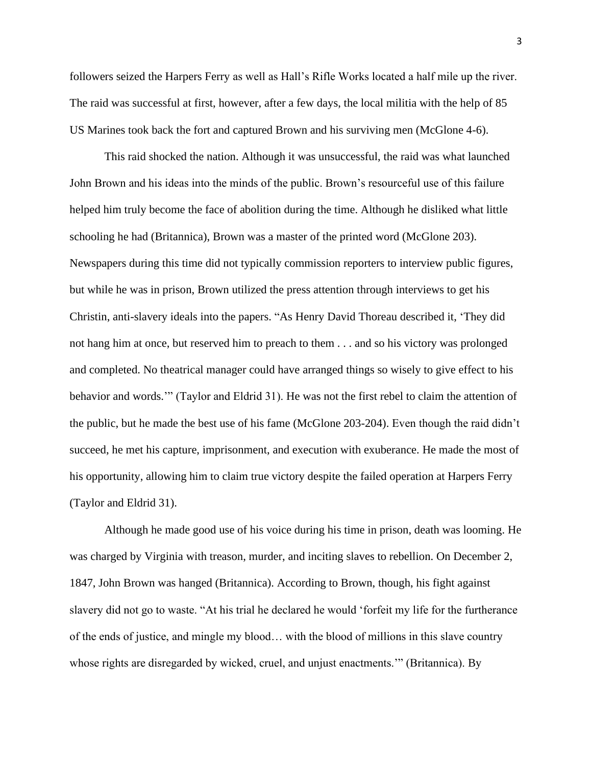followers seized the Harpers Ferry as well as Hall's Rifle Works located a half mile up the river. The raid was successful at first, however, after a few days, the local militia with the help of 85 US Marines took back the fort and captured Brown and his surviving men (McGlone 4-6).

This raid shocked the nation. Although it was unsuccessful, the raid was what launched John Brown and his ideas into the minds of the public. Brown's resourceful use of this failure helped him truly become the face of abolition during the time. Although he disliked what little schooling he had (Britannica), Brown was a master of the printed word (McGlone 203). Newspapers during this time did not typically commission reporters to interview public figures, but while he was in prison, Brown utilized the press attention through interviews to get his Christin, anti-slavery ideals into the papers. "As Henry David Thoreau described it, 'They did not hang him at once, but reserved him to preach to them . . . and so his victory was prolonged and completed. No theatrical manager could have arranged things so wisely to give effect to his behavior and words.'" (Taylor and Eldrid 31). He was not the first rebel to claim the attention of the public, but he made the best use of his fame (McGlone 203-204). Even though the raid didn't succeed, he met his capture, imprisonment, and execution with exuberance. He made the most of his opportunity, allowing him to claim true victory despite the failed operation at Harpers Ferry (Taylor and Eldrid 31).

Although he made good use of his voice during his time in prison, death was looming. He was charged by Virginia with treason, murder, and inciting slaves to rebellion. On December 2, 1847, John Brown was hanged (Britannica). According to Brown, though, his fight against slavery did not go to waste. "At his trial he declared he would 'forfeit my life for the furtherance of the ends of justice, and mingle my blood… with the blood of millions in this slave country whose rights are disregarded by wicked, cruel, and unjust enactments.'" (Britannica). By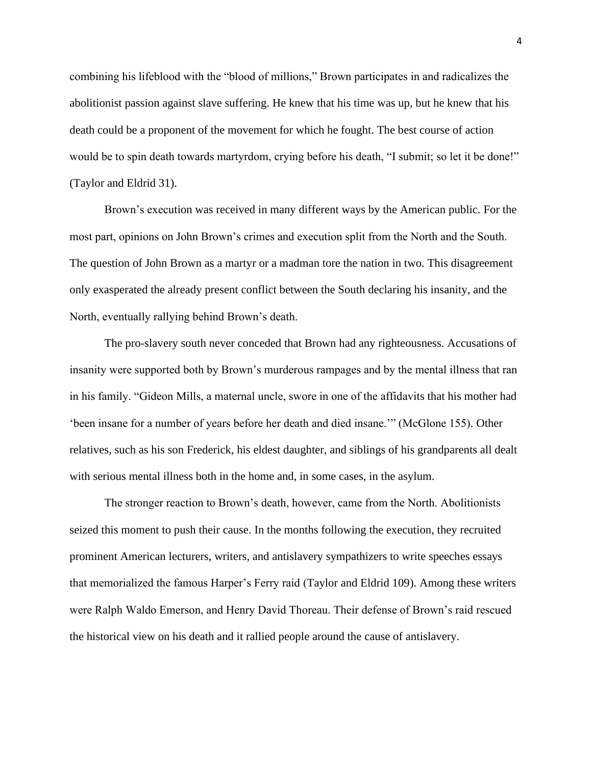combining his lifeblood with the "blood of millions," Brown participates in and radicalizes the abolitionist passion against slave suffering. He knew that his time was up, but he knew that his death could be a proponent of the movement for which he fought. The best course of action would be to spin death towards martyrdom, crying before his death, "I submit; so let it be done!" (Taylor and Eldrid 31).

Brown's execution was received in many different ways by the American public. For the most part, opinions on John Brown's crimes and execution split from the North and the South. The question of John Brown as a martyr or a madman tore the nation in two. This disagreement only exasperated the already present conflict between the South declaring his insanity, and the North, eventually rallying behind Brown's death.

The pro-slavery south never conceded that Brown had any righteousness. Accusations of insanity were supported both by Brown's murderous rampages and by the mental illness that ran in his family. "Gideon Mills, a maternal uncle, swore in one of the affidavits that his mother had 'been insane for a number of years before her death and died insane.'" (McGlone 155). Other relatives, such as his son Frederick, his eldest daughter, and siblings of his grandparents all dealt with serious mental illness both in the home and, in some cases, in the asylum.

The stronger reaction to Brown's death, however, came from the North. Abolitionists seized this moment to push their cause. In the months following the execution, they recruited prominent American lecturers, writers, and antislavery sympathizers to write speeches essays that memorialized the famous Harper's Ferry raid (Taylor and Eldrid 109). Among these writers were Ralph Waldo Emerson, and Henry David Thoreau. Their defense of Brown's raid rescued the historical view on his death and it rallied people around the cause of antislavery.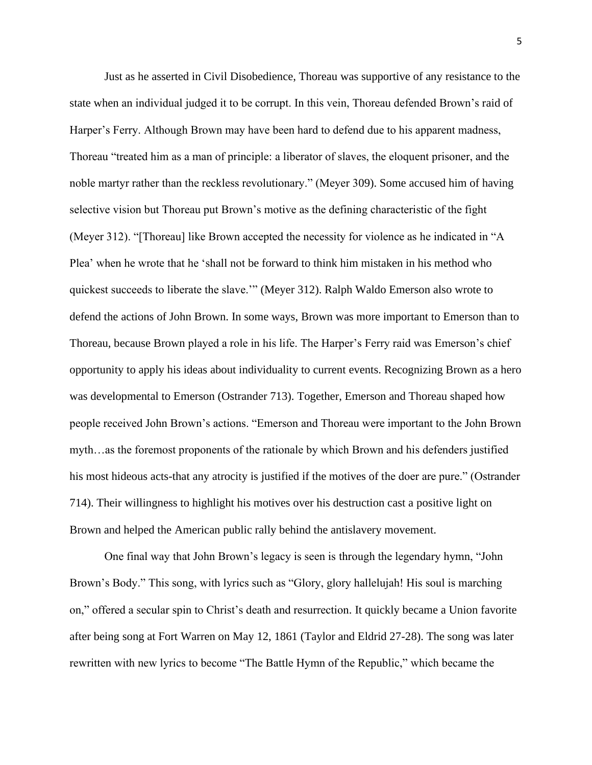Just as he asserted in Civil Disobedience, Thoreau was supportive of any resistance to the state when an individual judged it to be corrupt. In this vein, Thoreau defended Brown's raid of Harper's Ferry. Although Brown may have been hard to defend due to his apparent madness, Thoreau "treated him as a man of principle: a liberator of slaves, the eloquent prisoner, and the noble martyr rather than the reckless revolutionary." (Meyer 309). Some accused him of having selective vision but Thoreau put Brown's motive as the defining characteristic of the fight (Meyer 312). "[Thoreau] like Brown accepted the necessity for violence as he indicated in "A Plea' when he wrote that he 'shall not be forward to think him mistaken in his method who quickest succeeds to liberate the slave.'" (Meyer 312). Ralph Waldo Emerson also wrote to defend the actions of John Brown. In some ways, Brown was more important to Emerson than to Thoreau, because Brown played a role in his life. The Harper's Ferry raid was Emerson's chief opportunity to apply his ideas about individuality to current events. Recognizing Brown as a hero was developmental to Emerson (Ostrander 713). Together, Emerson and Thoreau shaped how people received John Brown's actions. "Emerson and Thoreau were important to the John Brown myth…as the foremost proponents of the rationale by which Brown and his defenders justified his most hideous acts-that any atrocity is justified if the motives of the doer are pure." (Ostrander 714). Their willingness to highlight his motives over his destruction cast a positive light on Brown and helped the American public rally behind the antislavery movement.

One final way that John Brown's legacy is seen is through the legendary hymn, "John Brown's Body." This song, with lyrics such as "Glory, glory hallelujah! His soul is marching on," offered a secular spin to Christ's death and resurrection. It quickly became a Union favorite after being song at Fort Warren on May 12, 1861 (Taylor and Eldrid 27-28). The song was later rewritten with new lyrics to become "The Battle Hymn of the Republic," which became the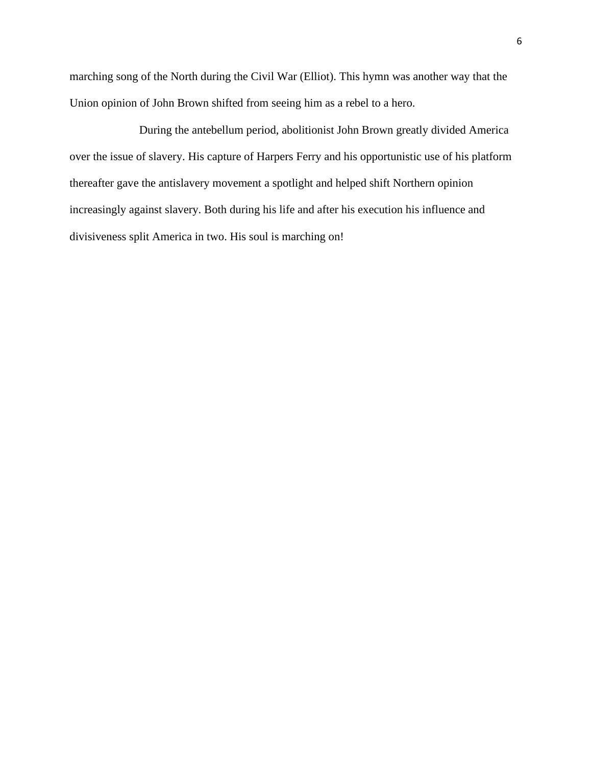marching song of the North during the Civil War (Elliot). This hymn was another way that the Union opinion of John Brown shifted from seeing him as a rebel to a hero.

During the antebellum period, abolitionist John Brown greatly divided America over the issue of slavery. His capture of Harpers Ferry and his opportunistic use of his platform thereafter gave the antislavery movement a spotlight and helped shift Northern opinion increasingly against slavery. Both during his life and after his execution his influence and divisiveness split America in two. His soul is marching on!